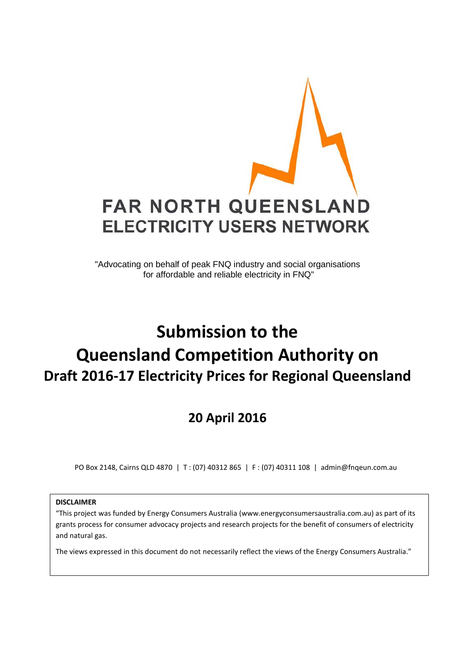

"Advocating on behalf of peak FNQ industry and social organisations for affordable and reliable electricity in FNQ"

# **Submission to the Queensland Competition Authority on Draft 2016-17 Electricity Prices for Regional Queensland**

**20 April 2016**

PO Box 2148, Cairns QLD 4870 | T : (07) 40312 865 | F : (07) 40311 108 | admin@fnqeun.com.au

#### **DISCLAIMER**

"This project was funded by Energy Consumers Australia (www.energyconsumersaustralia.com.au) as part of its grants process for consumer advocacy projects and research projects for the benefit of consumers of electricity and natural gas.

The views expressed in this document do not necessarily reflect the views of the Energy Consumers Australia."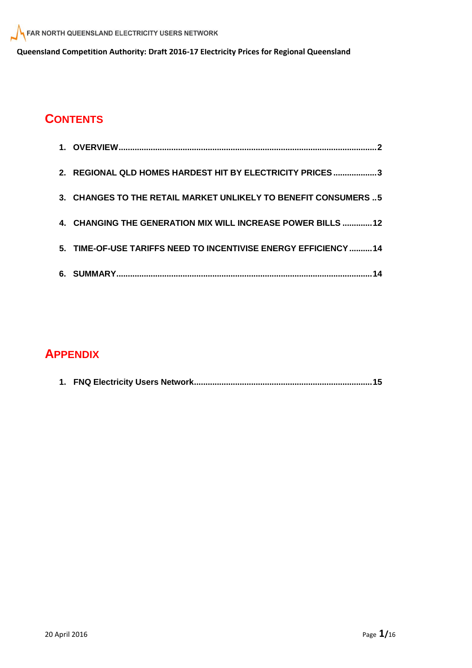## **CONTENTS**

| 2. REGIONAL QLD HOMES HARDEST HIT BY ELECTRICITY PRICES 3       |
|-----------------------------------------------------------------|
| 3. CHANGES TO THE RETAIL MARKET UNLIKELY TO BENEFIT CONSUMERS 5 |
| 4. CHANGING THE GENERATION MIX WILL INCREASE POWER BILLS  12    |
| 5. TIME-OF-USE TARIFFS NEED TO INCENTIVISE ENERGY EFFICIENCY 14 |
|                                                                 |

## **APPENDIX**

|--|--|--|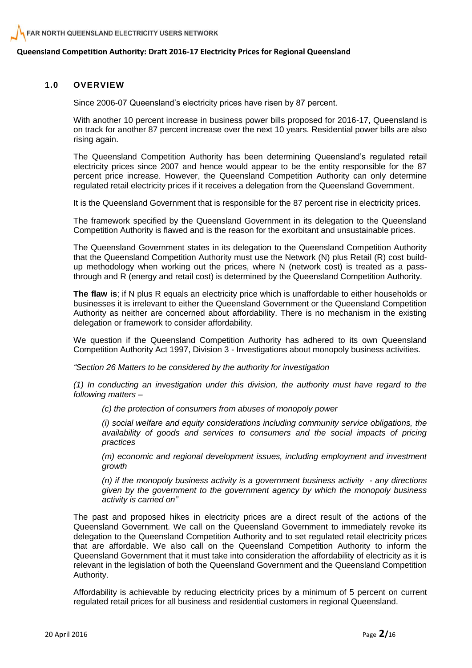#### **1.0 OVERVIEW**

Since 2006-07 Queensland's electricity prices have risen by 87 percent.

With another 10 percent increase in business power bills proposed for 2016-17, Queensland is on track for another 87 percent increase over the next 10 years. Residential power bills are also rising again.

The Queensland Competition Authority has been determining Queensland's regulated retail electricity prices since 2007 and hence would appear to be the entity responsible for the 87 percent price increase. However, the Queensland Competition Authority can only determine regulated retail electricity prices if it receives a delegation from the Queensland Government.

It is the Queensland Government that is responsible for the 87 percent rise in electricity prices.

The framework specified by the Queensland Government in its delegation to the Queensland Competition Authority is flawed and is the reason for the exorbitant and unsustainable prices.

The Queensland Government states in its delegation to the Queensland Competition Authority that the Queensland Competition Authority must use the Network (N) plus Retail (R) cost buildup methodology when working out the prices, where N (network cost) is treated as a passthrough and R (energy and retail cost) is determined by the Queensland Competition Authority.

**The flaw is**; if N plus R equals an electricity price which is unaffordable to either households or businesses it is irrelevant to either the Queensland Government or the Queensland Competition Authority as neither are concerned about affordability. There is no mechanism in the existing delegation or framework to consider affordability.

We question if the Queensland Competition Authority has adhered to its own Queensland Competition Authority Act 1997, Division 3 - Investigations about monopoly business activities.

*"Section 26 Matters to be considered by the authority for investigation*

*(1) In conducting an investigation under this division, the authority must have regard to the following matters –*

*(c) the protection of consumers from abuses of monopoly power*

*(i) social welfare and equity considerations including community service obligations, the availability of goods and services to consumers and the social impacts of pricing practices*

*(m) economic and regional development issues, including employment and investment growth*

*(n) if the monopoly business activity is a government business activity - any directions given by the government to the government agency by which the monopoly business activity is carried on"*

The past and proposed hikes in electricity prices are a direct result of the actions of the Queensland Government. We call on the Queensland Government to immediately revoke its delegation to the Queensland Competition Authority and to set regulated retail electricity prices that are affordable. We also call on the Queensland Competition Authority to inform the Queensland Government that it must take into consideration the affordability of electricity as it is relevant in the legislation of both the Queensland Government and the Queensland Competition Authority.

Affordability is achievable by reducing electricity prices by a minimum of 5 percent on current regulated retail prices for all business and residential customers in regional Queensland.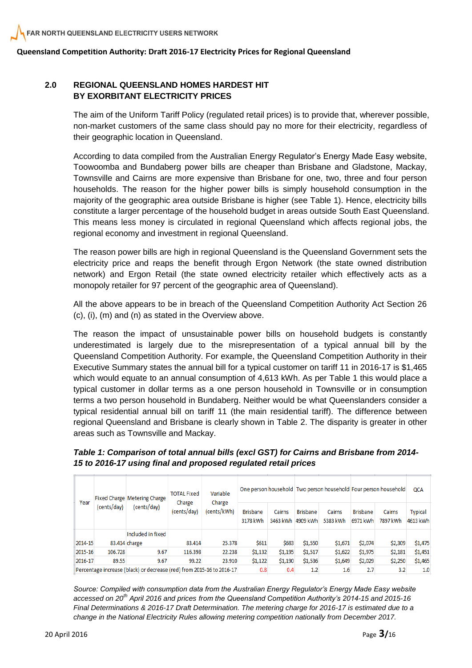#### **2.0 REGIONAL QUEENSLAND HOMES HARDEST HIT BY EXORBITANT ELECTRICITY PRICES**

The aim of the Uniform Tariff Policy (regulated retail prices) is to provide that, wherever possible, non-market customers of the same class should pay no more for their electricity, regardless of their geographic location in Queensland.

According to data compiled from the Australian Energy Regulator's Energy Made Easy website, Toowoomba and Bundaberg power bills are cheaper than Brisbane and Gladstone, Mackay, Townsville and Cairns are more expensive than Brisbane for one, two, three and four person households. The reason for the higher power bills is simply household consumption in the majority of the geographic area outside Brisbane is higher (see Table 1). Hence, electricity bills constitute a larger percentage of the household budget in areas outside South East Queensland. This means less money is circulated in regional Queensland which affects regional jobs, the regional economy and investment in regional Queensland.

The reason power bills are high in regional Queensland is the Queensland Government sets the electricity price and reaps the benefit through Ergon Network (the state owned distribution network) and Ergon Retail (the state owned electricity retailer which effectively acts as a monopoly retailer for 97 percent of the geographic area of Queensland).

All the above appears to be in breach of the Queensland Competition Authority Act Section 26 (c), (i), (m) and (n) as stated in the Overview above.

The reason the impact of unsustainable power bills on household budgets is constantly underestimated is largely due to the misrepresentation of a typical annual bill by the Queensland Competition Authority. For example, the Queensland Competition Authority in their Executive Summary states the annual bill for a typical customer on tariff 11 in 2016-17 is \$1,465 which would equate to an annual consumption of 4,613 kWh. As per Table 1 this would place a typical customer in dollar terms as a one person household in Townsville or in consumption terms a two person household in Bundaberg. Neither would be what Queenslanders consider a typical residential annual bill on tariff 11 (the main residential tariff). The difference between regional Queensland and Brisbane is clearly shown in Table 2. The disparity is greater in other areas such as Townsville and Mackay.

*Table 1: Comparison of total annual bills (excl GST) for Cairns and Brisbane from 2014- 15 to 2016-17 using final and proposed regulated retail prices*

| Year    | (cents/day) | Fixed Charge Metering Charge<br>(cents/dav)                           |             | <b>TOTAL Fixed</b><br>Charge | Variable                    |                    |                             |                    | One person household Two person household Four person household |                    |                     | QCA |
|---------|-------------|-----------------------------------------------------------------------|-------------|------------------------------|-----------------------------|--------------------|-----------------------------|--------------------|-----------------------------------------------------------------|--------------------|---------------------|-----|
|         |             |                                                                       | (cents/day) | Charge<br>(cents/kWh)        | <b>Brisbane</b><br>3178 kWh | Cairns<br>3463 kWh | <b>Brisbane</b><br>4909 kWh | Cairns<br>5383 kWh | <b>Brisbane</b><br>6971 kWh                                     | Cairns<br>7897 kWh | Typical<br>4613 kWh |     |
|         |             | Included in fixed                                                     |             |                              |                             |                    |                             |                    |                                                                 |                    |                     |     |
| 2014-15 |             | 83.414 charge                                                         | 83.414      | 25.378                       | \$611                       | \$683              | \$1,550                     | \$1,671            | \$2,074                                                         | \$2,309            | \$1,475             |     |
| 2015-16 | 106.728     | 9.67                                                                  | 116.398     | 22.238                       | \$1,132                     | \$1,195            | \$1,517                     | \$1,622            | \$1,975                                                         | \$2,181            | \$1,451             |     |
| 2016-17 | 89.55       | 9.67                                                                  | 99.22       | 23.910                       | \$1,122                     | \$1,190            | \$1,536                     | \$1,649            | \$2,029                                                         | \$2,250            | \$1,465             |     |
|         |             | Percentage increase (black) or decrease (red) from 2015-16 to 2016-17 |             |                              | 0.8                         | 0.4                | 1.2                         | 1.6                | 2.7                                                             | 3.2                | 1.0                 |     |

*Source: Compiled with consumption data from the Australian Energy Regulator's Energy Made Easy website accessed on 20th April 2016 and prices from the Queensland Competition Authority's 2014-15 and 2015-16 Final Determinations & 2016-17 Draft Determination. The metering charge for 2016-17 is estimated due to a change in the National Electricity Rules allowing metering competition nationally from December 2017.*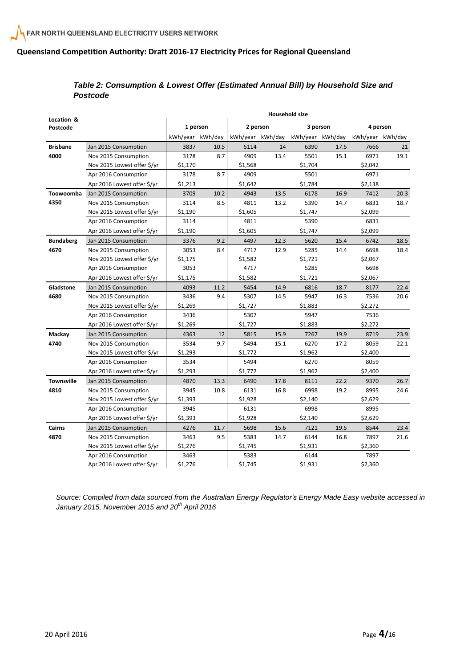#### *Table 2: Consumption & Lowest Offer (Estimated Annual Bill) by Household Size and Postcode*

| Location &        |                             |                  |      |                  | Household size |                  |      |                  |      |
|-------------------|-----------------------------|------------------|------|------------------|----------------|------------------|------|------------------|------|
| Postcode          |                             | 1 person         |      | 2 person         |                | 3 person         |      | 4 person         |      |
|                   |                             | kWh/year kWh/day |      | kWh/year kWh/day |                | kWh/year kWh/day |      | kWh/year kWh/day |      |
| <b>Brisbane</b>   | Jan 2015 Consumption        | 3837             | 10.5 | 5114             | 14             | 6390             | 17.5 | 7666             | 21   |
| 4000              | Nov 2015 Consumption        | 3178             | 8.7  | 4909             | 13.4           | 5501             | 15.1 | 6971             | 19.1 |
|                   | Nov 2015 Lowest offer \$/yr | \$1,170          |      | \$1,568          |                | \$1,704          |      | \$2,042          |      |
|                   | Apr 2016 Consumption        | 3178             | 8.7  | 4909             |                | 5501             |      | 6971             |      |
|                   | Apr 2016 Lowest offer \$/yr | \$1,213          |      | \$1,642          |                | \$1,784          |      | \$2,138          |      |
| Toowoomba         | Jan 2015 Consumption        | 3709             | 10.2 | 4943             | 13.5           | 6178             | 16.9 | 7412             | 20.3 |
| 4350              | Nov 2015 Consumption        | 3114             | 8.5  | 4811             | 13.2           | 5390             | 14.7 | 6831             | 18.7 |
|                   | Nov 2015 Lowest offer \$/yr | \$1,190          |      | \$1,605          |                | \$1,747          |      | \$2,099          |      |
|                   | Apr 2016 Consumption        | 3114             |      | 4811             |                | 5390             |      | 6831             |      |
|                   | Apr 2016 Lowest offer \$/yr | \$1,190          |      | \$1,605          |                | \$1,747          |      | \$2,099          |      |
| <b>Bundaberg</b>  | Jan 2015 Consumption        | 3376             | 9.2  | 4497             | 12.3           | 5620             | 15.4 | 6742             | 18.5 |
| 4670              | Nov 2015 Consumption        | 3053             | 8.4  | 4717             | 12.9           | 5285             | 14.4 | 6698             | 18.4 |
|                   | Nov 2015 Lowest offer \$/yr | \$1,175          |      | \$1,582          |                | \$1,721          |      | \$2,067          |      |
|                   | Apr 2016 Consumption        | 3053             |      | 4717             |                | 5285             |      | 6698             |      |
|                   | Apr 2016 Lowest offer \$/yr | \$1,175          |      | \$1,582          |                | \$1,721          |      | \$2,067          |      |
| Gladstone         | Jan 2015 Consumption        | 4093             | 11.2 | 5454             | 14.9           | 6816             | 18.7 | 8177             | 22.4 |
| 4680              | Nov 2015 Consumption        | 3436             | 9.4  | 5307             | 14.5           | 5947             | 16.3 | 7536             | 20.6 |
|                   | Nov 2015 Lowest offer \$/yr | \$1,269          |      | \$1,727          |                | \$1,883          |      | \$2,272          |      |
|                   | Apr 2016 Consumption        | 3436             |      | 5307             |                | 5947             |      | 7536             |      |
|                   | Apr 2016 Lowest offer \$/yr | \$1,269          |      | \$1,727          |                | \$1,883          |      | \$2,272          |      |
| Mackay            | Jan 2015 Consumption        | 4363             | 12   | 5815             | 15.9           | 7267             | 19.9 | 8719             | 23.9 |
| 4740              | Nov 2015 Consumption        | 3534             | 9.7  | 5494             | 15.1           | 6270             | 17.2 | 8059             | 22.1 |
|                   | Nov 2015 Lowest offer \$/yr | \$1,293          |      | \$1,772          |                | \$1,962          |      | \$2,400          |      |
|                   | Apr 2016 Consumption        | 3534             |      | 5494             |                | 6270             |      | 8059             |      |
|                   | Apr 2016 Lowest offer \$/yr | \$1,293          |      | \$1,772          |                | \$1,962          |      | \$2,400          |      |
| <b>Townsville</b> | Jan 2015 Consumption        | 4870             | 13.3 | 6490             | 17.8           | 8111             | 22.2 | 9370             | 26.7 |
| 4810              | Nov 2015 Consumption        | 3945             | 10.8 | 6131             | 16.8           | 6998             | 19.2 | 8995             | 24.6 |
|                   | Nov 2015 Lowest offer \$/yr | \$1,393          |      | \$1,928          |                | \$2,140          |      | \$2,629          |      |
|                   | Apr 2016 Consumption        | 3945             |      | 6131             |                | 6998             |      | 8995             |      |
|                   | Apr 2016 Lowest offer \$/yr | \$1,393          |      | \$1,928          |                | \$2,140          |      | \$2,629          |      |
| <b>Cairns</b>     | Jan 2015 Consumption        | 4276             | 11.7 | 5698             | 15.6           | 7121             | 19.5 | 8544             | 23.4 |
| 4870              | Nov 2015 Consumption        | 3463             | 9.5  | 5383             | 14.7           | 6144             | 16.8 | 7897             | 21.6 |
|                   | Nov 2015 Lowest offer \$/yr | \$1,276          |      | \$1,745          |                | \$1,931          |      | \$2,360          |      |
|                   | Apr 2016 Consumption        | 3463             |      | 5383             |                | 6144             |      | 7897             |      |
|                   | Apr 2016 Lowest offer \$/yr | \$1,276          |      | \$1,745          |                | \$1,931          |      | \$2,360          |      |

*Source: Compiled from data sourced from the Australian Energy Regulator's Energy Made Easy website accessed in January 2015, November 2015 and 20th April 2016*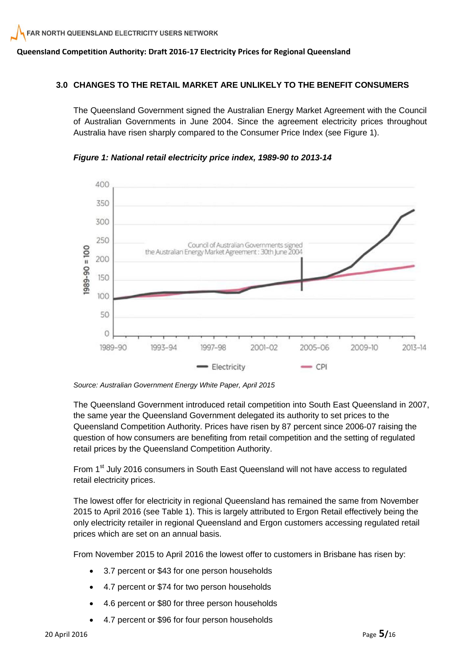#### **3.0 CHANGES TO THE RETAIL MARKET ARE UNLIKELY TO THE BENEFIT CONSUMERS**

The Queensland Government signed the Australian Energy Market Agreement with the Council of Australian Governments in June 2004. Since the agreement electricity prices throughout Australia have risen sharply compared to the Consumer Price Index (see Figure 1).



*Figure 1: National retail electricity price index, 1989-90 to 2013-14* 

The Queensland Government introduced retail competition into South East Queensland in 2007, the same year the Queensland Government delegated its authority to set prices to the Queensland Competition Authority. Prices have risen by 87 percent since 2006-07 raising the question of how consumers are benefiting from retail competition and the setting of regulated retail prices by the Queensland Competition Authority.

From 1<sup>st</sup> July 2016 consumers in South East Queensland will not have access to regulated retail electricity prices.

The lowest offer for electricity in regional Queensland has remained the same from November 2015 to April 2016 (see Table 1). This is largely attributed to Ergon Retail effectively being the only electricity retailer in regional Queensland and Ergon customers accessing regulated retail prices which are set on an annual basis.

From November 2015 to April 2016 the lowest offer to customers in Brisbane has risen by:

- 3.7 percent or \$43 for one person households
- 4.7 percent or \$74 for two person households
- 4.6 percent or \$80 for three person households
- 4.7 percent or \$96 for four person households

*Source: Australian Government Energy White Paper, April 2015*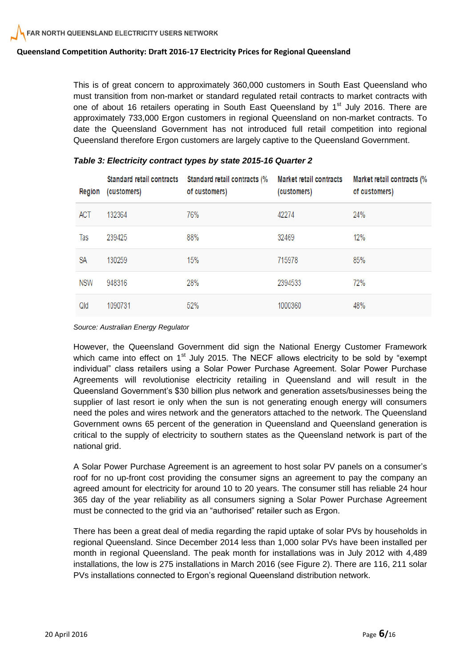This is of great concern to approximately 360,000 customers in South East Queensland who must transition from non-market or standard regulated retail contracts to market contracts with one of about 16 retailers operating in South East Queensland by  $1<sup>st</sup>$  July 2016. There are approximately 733,000 Ergon customers in regional Queensland on non-market contracts. To date the Queensland Government has not introduced full retail competition into regional Queensland therefore Ergon customers are largely captive to the Queensland Government.

| Region     | <b>Standard retail contracts</b><br>(customers) | Standard retail contracts (%<br>of customers) | <b>Market retail contracts</b><br>(customers) | Market retail contracts (%<br>of customers) |
|------------|-------------------------------------------------|-----------------------------------------------|-----------------------------------------------|---------------------------------------------|
| ACT        | 132364                                          | 76%                                           | 42274                                         | 24%                                         |
| Tas        | 239425                                          | 88%                                           | 32469                                         | 12%                                         |
| SA         | 130259                                          | 15%                                           | 715978                                        | 85%                                         |
| <b>NSW</b> | 948316                                          | 28%                                           | 2394533                                       | 72%                                         |
| Qld        | 1090731                                         | 52%                                           | 1000360                                       | 48%                                         |

#### *Table 3: Electricity contract types by state 2015-16 Quarter 2*

#### *Source: Australian Energy Regulator*

However, the Queensland Government did sign the National Energy Customer Framework which came into effect on  $1<sup>st</sup>$  July 2015. The NECF allows electricity to be sold by "exempt individual" class retailers using a Solar Power Purchase Agreement. Solar Power Purchase Agreements will revolutionise electricity retailing in Queensland and will result in the Queensland Government's \$30 billion plus network and generation assets/businesses being the supplier of last resort ie only when the sun is not generating enough energy will consumers need the poles and wires network and the generators attached to the network. The Queensland Government owns 65 percent of the generation in Queensland and Queensland generation is critical to the supply of electricity to southern states as the Queensland network is part of the national grid.

A Solar Power Purchase Agreement is an agreement to host solar PV panels on a consumer's roof for no up-front cost providing the consumer signs an agreement to pay the company an agreed amount for electricity for around 10 to 20 years. The consumer still has reliable 24 hour 365 day of the year reliability as all consumers signing a Solar Power Purchase Agreement must be connected to the grid via an "authorised" retailer such as Ergon.

There has been a great deal of media regarding the rapid uptake of solar PVs by households in regional Queensland. Since December 2014 less than 1,000 solar PVs have been installed per month in regional Queensland. The peak month for installations was in July 2012 with 4,489 installations, the low is 275 installations in March 2016 (see Figure 2). There are 116, 211 solar PVs installations connected to Ergon's regional Queensland distribution network.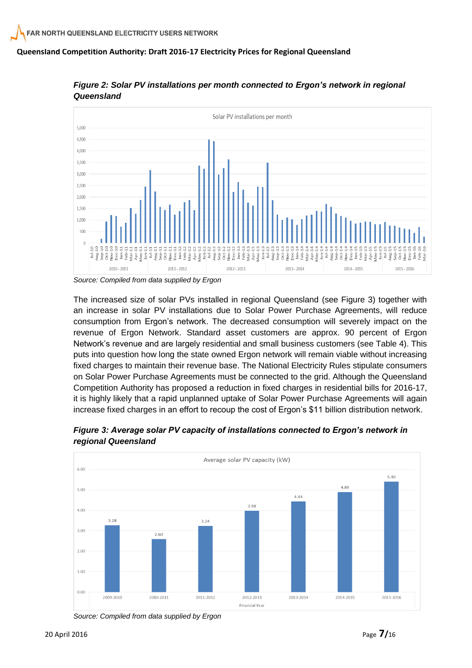

*Figure 2: Solar PV installations per month connected to Ergon's network in regional Queensland*

The increased size of solar PVs installed in regional Queensland (see Figure 3) together with an increase in solar PV installations due to Solar Power Purchase Agreements, will reduce consumption from Ergon's network. The decreased consumption will severely impact on the revenue of Ergon Network. Standard asset customers are approx. 90 percent of Ergon Network's revenue and are largely residential and small business customers (see Table 4). This puts into question how long the state owned Ergon network will remain viable without increasing fixed charges to maintain their revenue base. The National Electricity Rules stipulate consumers on Solar Power Purchase Agreements must be connected to the grid. Although the Queensland Competition Authority has proposed a reduction in fixed charges in residential bills for 2016-17, it is highly likely that a rapid unplanned uptake of Solar Power Purchase Agreements will again increase fixed charges in an effort to recoup the cost of Ergon's \$11 billion distribution network.



*Figure 3: Average solar PV capacity of installations connected to Ergon's network in regional Queensland* 

*Source: Compiled from data supplied by Ergon*

*Source: Compiled from data supplied by Ergon*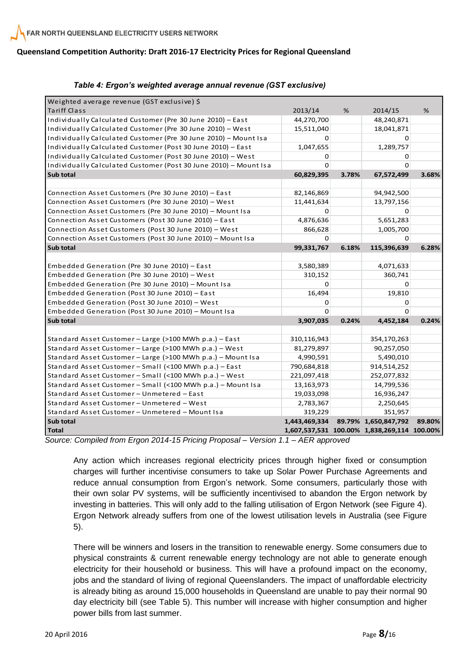| Weighted average revenue (GST exclusive) \$                      |               |       |                                             |        |
|------------------------------------------------------------------|---------------|-------|---------------------------------------------|--------|
| Tariff Class                                                     | 2013/14       | $\%$  | 2014/15                                     | $\%$   |
| Individually Calculated Customer (Pre 30 June 2010) - East       | 44,270,700    |       | 48,240,871                                  |        |
| Individually Calculated Customer (Pre 30 June 2010) - West       | 15,511,040    |       | 18,041,871                                  |        |
| Individually Calculated Customer (Pre 30 June 2010) - Mount Isa  | 0             |       | 0                                           |        |
| Individually Calculated Customer (Post 30 June 2010) - East      | 1,047,655     |       | 1,289,757                                   |        |
| Individually Calculated Customer (Post 30 June 2010) - West      | 0             |       | 0                                           |        |
| Individually Calculated Customer (Post 30 June 2010) - Mount Isa | $\Omega$      |       | O                                           |        |
| Sub total                                                        | 60,829,395    | 3.78% | 67,572,499                                  | 3.68%  |
|                                                                  |               |       |                                             |        |
| Connection Asset Customers (Pre 30 June 2010) - East             | 82,146,869    |       | 94,942,500                                  |        |
| Connection Asset Customers (Pre 30 June 2010) - West             | 11,441,634    |       | 13,797,156                                  |        |
| Connection Asset Customers (Pre 30 June 2010) - Mount Isa        | 0             |       | 0                                           |        |
| Connection Asset Customers (Post 30 June 2010) - East            | 4,876,636     |       | 5,651,283                                   |        |
| Connection Asset Customers (Post 30 June 2010) - West            | 866,628       |       | 1,005,700                                   |        |
| Connection Asset Customers (Post 30 June 2010) - Mount Isa       | 0             |       | 0                                           |        |
| Sub total                                                        | 99,331,767    | 6.18% | 115,396,639                                 | 6.28%  |
|                                                                  |               |       |                                             |        |
| Embedded Generation (Pre 30 June 2010) - East                    | 3,580,389     |       | 4,071,633                                   |        |
| Embedded Generation (Pre 30 June 2010) - West                    | 310,152       |       | 360,741                                     |        |
| Embedded Generation (Pre 30 June 2010) - Mount Isa               | 0             |       | $\Omega$                                    |        |
| Embedded Generation (Post 30 June 2010) - East                   | 16,494        |       | 19,810                                      |        |
| Embedded Generation (Post 30 June 2010) - West                   | 0             |       | 0                                           |        |
| Embedded Generation (Post 30 June 2010) - Mount Isa              | $\Omega$      |       | $\Omega$                                    |        |
| Sub total                                                        | 3,907,035     | 0.24% | 4,452,184                                   | 0.24%  |
|                                                                  |               |       |                                             |        |
| Standard Asset Customer - Large (>100 MWh p.a.) - East           | 310,116,943   |       | 354,170,263                                 |        |
| Standard Asset Customer - Large (>100 MWh p.a.) - West           | 81,279,897    |       | 90,257,050                                  |        |
| Standard Asset Customer - Large (>100 MWh p.a.) - Mount Isa      | 4,990,591     |       | 5,490,010                                   |        |
| Standard Asset Customer - Small (<100 MWh p.a.) - East           | 790,684,818   |       | 914,514,252                                 |        |
| Standard Asset Customer - Small (<100 MWh p.a.) - West           | 221,097,418   |       | 252,077,832                                 |        |
| Standard Asset Customer - Small (<100 MWh p.a.) - Mount Isa      | 13,163,973    |       | 14,799,536                                  |        |
| Standard Asset Customer - Unmetered - East                       | 19,033,098    |       | 16,936,247                                  |        |
| Standard Asset Customer - Unmetered - West                       | 2,783,367     |       | 2,250,645                                   |        |
| Standard Asset Customer - Unmetered - Mount Isa                  | 319,229       |       | 351,957                                     |        |
| Sub total                                                        | 1,443,469,334 |       | 89.79% 1,650,847,792                        | 89.80% |
| <b>Total</b>                                                     |               |       | 1,607,537,531 100.00% 1,838,269,114 100.00% |        |

#### *Table 4: Ergon's weighted average annual revenue (GST exclusive)*

*Source: Compiled from Ergon 2014-15 Pricing Proposal – Version 1.1 – AER approved*

Any action which increases regional electricity prices through higher fixed or consumption charges will further incentivise consumers to take up Solar Power Purchase Agreements and reduce annual consumption from Ergon's network. Some consumers, particularly those with their own solar PV systems, will be sufficiently incentivised to abandon the Ergon network by investing in batteries. This will only add to the falling utilisation of Ergon Network (see Figure 4). Ergon Network already suffers from one of the lowest utilisation levels in Australia (see Figure 5).

There will be winners and losers in the transition to renewable energy. Some consumers due to physical constraints & current renewable energy technology are not able to generate enough electricity for their household or business. This will have a profound impact on the economy, jobs and the standard of living of regional Queenslanders. The impact of unaffordable electricity is already biting as around 15,000 households in Queensland are unable to pay their normal 90 day electricity bill (see Table 5). This number will increase with higher consumption and higher power bills from last summer.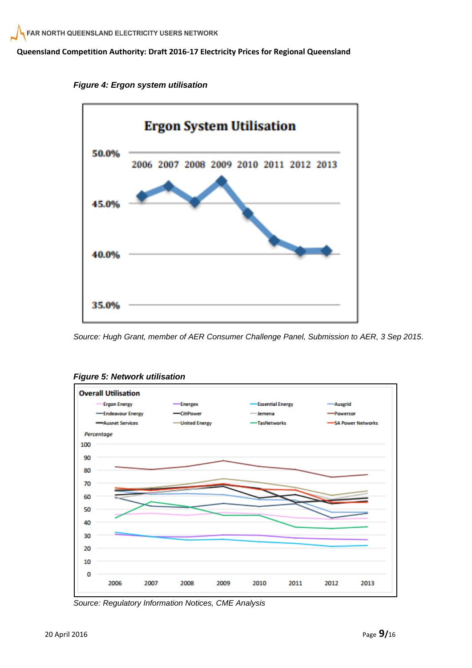

*Figure 4: Ergon system utilisation*

*Source: Hugh Grant, member of AER Consumer Challenge Panel, Submission to AER, 3 Sep 2015.*



*Figure 5: Network utilisation*

*Source: Regulatory Information Notices, CME Analysis*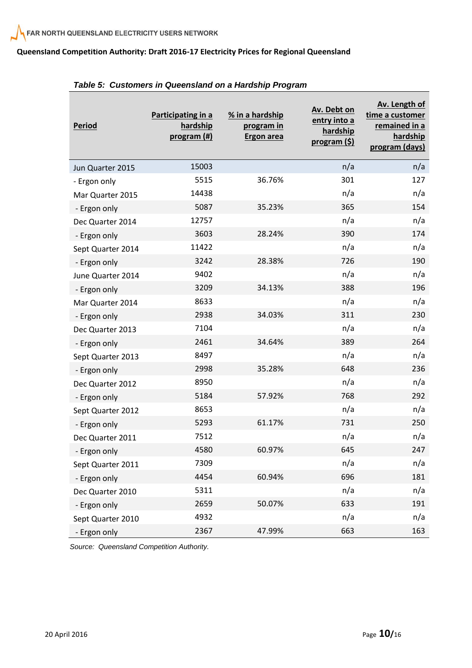| <b>Period</b>     | Participating in a<br>hardship<br>program (#) | % in a hardship<br>program in<br><b>Ergon area</b> | Av. Debt on<br>entry into a<br>hardship<br>program (\$) | Av. Length of<br>time a customer<br>remained in a<br>hardship<br>program (days) |
|-------------------|-----------------------------------------------|----------------------------------------------------|---------------------------------------------------------|---------------------------------------------------------------------------------|
| Jun Quarter 2015  | 15003                                         |                                                    | n/a                                                     | n/a                                                                             |
| - Ergon only      | 5515                                          | 36.76%                                             | 301                                                     | 127                                                                             |
| Mar Quarter 2015  | 14438                                         |                                                    | n/a                                                     | n/a                                                                             |
| - Ergon only      | 5087                                          | 35.23%                                             | 365                                                     | 154                                                                             |
| Dec Quarter 2014  | 12757                                         |                                                    | n/a                                                     | n/a                                                                             |
| - Ergon only      | 3603                                          | 28.24%                                             | 390                                                     | 174                                                                             |
| Sept Quarter 2014 | 11422                                         |                                                    | n/a                                                     | n/a                                                                             |
| - Ergon only      | 3242                                          | 28.38%                                             | 726                                                     | 190                                                                             |
| June Quarter 2014 | 9402                                          |                                                    | n/a                                                     | n/a                                                                             |
| - Ergon only      | 3209                                          | 34.13%                                             | 388                                                     | 196                                                                             |
| Mar Quarter 2014  | 8633                                          |                                                    | n/a                                                     | n/a                                                                             |
| - Ergon only      | 2938                                          | 34.03%                                             | 311                                                     | 230                                                                             |
| Dec Quarter 2013  | 7104                                          |                                                    | n/a                                                     | n/a                                                                             |
| - Ergon only      | 2461                                          | 34.64%                                             | 389                                                     | 264                                                                             |
| Sept Quarter 2013 | 8497                                          |                                                    | n/a                                                     | n/a                                                                             |
| - Ergon only      | 2998                                          | 35.28%                                             | 648                                                     | 236                                                                             |
| Dec Quarter 2012  | 8950                                          |                                                    | n/a                                                     | n/a                                                                             |
| - Ergon only      | 5184                                          | 57.92%                                             | 768                                                     | 292                                                                             |
| Sept Quarter 2012 | 8653                                          |                                                    | n/a                                                     | n/a                                                                             |
| - Ergon only      | 5293                                          | 61.17%                                             | 731                                                     | 250                                                                             |
| Dec Quarter 2011  | 7512                                          |                                                    | n/a                                                     | n/a                                                                             |
| Ergon only        | 4580                                          | 60.97%                                             | 645                                                     | 247                                                                             |
| Sept Quarter 2011 | 7309                                          |                                                    | n/a                                                     | n/a                                                                             |
| - Ergon only      | 4454                                          | 60.94%                                             | 696                                                     | 181                                                                             |
| Dec Quarter 2010  | 5311                                          |                                                    | n/a                                                     | n/a                                                                             |
| - Ergon only      | 2659                                          | 50.07%                                             | 633                                                     | 191                                                                             |
| Sept Quarter 2010 | 4932                                          |                                                    | n/a                                                     | n/a                                                                             |
| - Ergon only      | 2367                                          | 47.99%                                             | 663                                                     | 163                                                                             |

|  | Table 5: Customers in Queensland on a Hardship Program |  |  |  |  |  |  |
|--|--------------------------------------------------------|--|--|--|--|--|--|
|--|--------------------------------------------------------|--|--|--|--|--|--|

*Source: Queensland Competition Authority.*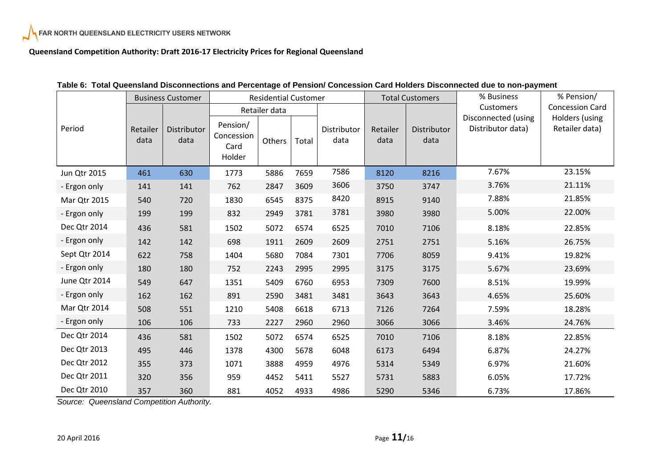|               | <b>Business Customer</b> |                     | <b>Residential Customer</b>              |        |       |                     | <b>Total Customers</b> |                     | % Business                               | % Pension/                       |
|---------------|--------------------------|---------------------|------------------------------------------|--------|-------|---------------------|------------------------|---------------------|------------------------------------------|----------------------------------|
|               |                          |                     | Retailer data                            |        |       |                     |                        | <b>Customers</b>    | <b>Concession Card</b>                   |                                  |
| Period        | Retailer<br>data         | Distributor<br>data | Pension/<br>Concession<br>Card<br>Holder | Others | Total | Distributor<br>data | Retailer<br>data       | Distributor<br>data | Disconnected (using<br>Distributor data) | Holders (using<br>Retailer data) |
| Jun Qtr 2015  | 461                      | 630                 | 1773                                     | 5886   | 7659  | 7586                | 8120                   | 8216                | 7.67%                                    | 23.15%                           |
| - Ergon only  | 141                      | 141                 | 762                                      | 2847   | 3609  | 3606                | 3750                   | 3747                | 3.76%                                    | 21.11%                           |
| Mar Qtr 2015  | 540                      | 720                 | 1830                                     | 6545   | 8375  | 8420                | 8915                   | 9140                | 7.88%                                    | 21.85%                           |
| - Ergon only  | 199                      | 199                 | 832                                      | 2949   | 3781  | 3781                | 3980                   | 3980                | 5.00%                                    | 22.00%                           |
| Dec Qtr 2014  | 436                      | 581                 | 1502                                     | 5072   | 6574  | 6525                | 7010                   | 7106                | 8.18%                                    | 22.85%                           |
| - Ergon only  | 142                      | 142                 | 698                                      | 1911   | 2609  | 2609                | 2751                   | 2751                | 5.16%                                    | 26.75%                           |
| Sept Qtr 2014 | 622                      | 758                 | 1404                                     | 5680   | 7084  | 7301                | 7706                   | 8059                | 9.41%                                    | 19.82%                           |
| - Ergon only  | 180                      | 180                 | 752                                      | 2243   | 2995  | 2995                | 3175                   | 3175                | 5.67%                                    | 23.69%                           |
| June Qtr 2014 | 549                      | 647                 | 1351                                     | 5409   | 6760  | 6953                | 7309                   | 7600                | 8.51%                                    | 19.99%                           |
| - Ergon only  | 162                      | 162                 | 891                                      | 2590   | 3481  | 3481                | 3643                   | 3643                | 4.65%                                    | 25.60%                           |
| Mar Qtr 2014  | 508                      | 551                 | 1210                                     | 5408   | 6618  | 6713                | 7126                   | 7264                | 7.59%                                    | 18.28%                           |
| - Ergon only  | 106                      | 106                 | 733                                      | 2227   | 2960  | 2960                | 3066                   | 3066                | 3.46%                                    | 24.76%                           |
| Dec Qtr 2014  | 436                      | 581                 | 1502                                     | 5072   | 6574  | 6525                | 7010                   | 7106                | 8.18%                                    | 22.85%                           |
| Dec Qtr 2013  | 495                      | 446                 | 1378                                     | 4300   | 5678  | 6048                | 6173                   | 6494                | 6.87%                                    | 24.27%                           |
| Dec Qtr 2012  | 355                      | 373                 | 1071                                     | 3888   | 4959  | 4976                | 5314                   | 5349                | 6.97%                                    | 21.60%                           |
| Dec Qtr 2011  | 320                      | 356                 | 959                                      | 4452   | 5411  | 5527                | 5731                   | 5883                | 6.05%                                    | 17.72%                           |
| Dec Qtr 2010  | 357                      | 360                 | 881                                      | 4052   | 4933  | 4986                | 5290                   | 5346                | 6.73%                                    | 17.86%                           |

|  |  | Table 6: Total Queensland Disconnections and Percentage of Pension/ Concession Card Holders Disconnected due to non-payment |  |  |  |  |  |
|--|--|-----------------------------------------------------------------------------------------------------------------------------|--|--|--|--|--|
|--|--|-----------------------------------------------------------------------------------------------------------------------------|--|--|--|--|--|

*Source: Queensland Competition Authority.*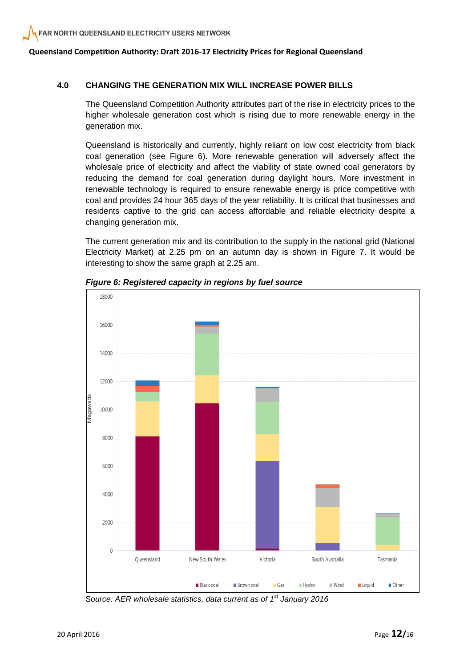#### **4.0 CHANGING THE GENERATION MIX WILL INCREASE POWER BILLS**

The Queensland Competition Authority attributes part of the rise in electricity prices to the higher wholesale generation cost which is rising due to more renewable energy in the generation mix.

Queensland is historically and currently, highly reliant on low cost electricity from black coal generation (see Figure 6). More renewable generation will adversely affect the wholesale price of electricity and affect the viability of state owned coal generators by reducing the demand for coal generation during daylight hours. More investment in renewable technology is required to ensure renewable energy is price competitive with coal and provides 24 hour 365 days of the year reliability. It is critical that businesses and residents captive to the grid can access affordable and reliable electricity despite a changing generation mix.

The current generation mix and its contribution to the supply in the national grid (National Electricity Market) at 2.25 pm on an autumn day is shown in Figure 7. It would be interesting to show the same graph at 2.25 am.



*Figure 6: Registered capacity in regions by fuel source*

S*ource: AER wholesale statistics, data current as of 1 st January 2016*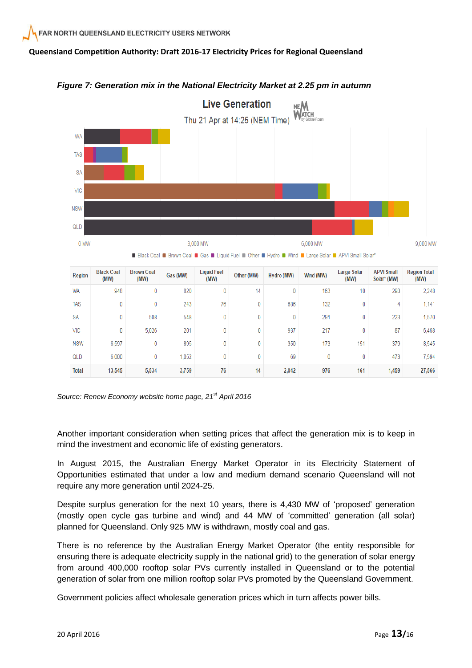

 $\overline{0}$ 

 $\mathbf{0}$ 

 $14$ 

350

69

2.042

173

 $\overline{0}$ 

976

151

 $\mathbf{0}$ 

161

379

473

1.459

8.545

7.594

27.566

#### *Figure 7: Generation mix in the National Electricity Market at 2.25 pm in autumn*



 $\overline{0}$ 

 $\mathbf{0}$ 

5.534

895

1.052

3,759

Another important consideration when setting prices that affect the generation mix is to keep in mind the investment and economic life of existing generators.

 $\overline{0}$ 

 $\overline{0}$ 

76

In August 2015, the Australian Energy Market Operator in its Electricity Statement of Opportunities estimated that under a low and medium demand scenario Queensland will not require any more generation until 2024-25.

Despite surplus generation for the next 10 years, there is 4,430 MW of 'proposed' generation (mostly open cycle gas turbine and wind) and 44 MW of 'committed' generation (all solar) planned for Queensland. Only 925 MW is withdrawn, mostly coal and gas.

There is no reference by the Australian Energy Market Operator (the entity responsible for ensuring there is adequate electricity supply in the national grid) to the generation of solar energy from around 400,000 rooftop solar PVs currently installed in Queensland or to the potential generation of solar from one million rooftop solar PVs promoted by the Queensland Government.

Government policies affect wholesale generation prices which in turn affects power bills.

**NSW** 

QLD

**Total** 

6.597

6.000

13,545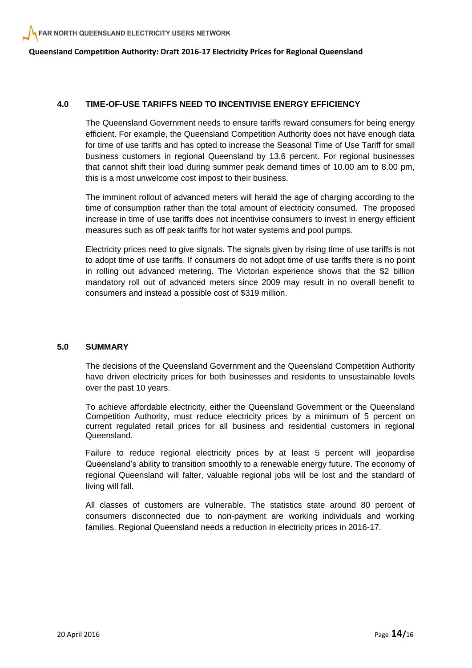#### **4.0 TIME-OF-USE TARIFFS NEED TO INCENTIVISE ENERGY EFFICIENCY**

The Queensland Government needs to ensure tariffs reward consumers for being energy efficient. For example, the Queensland Competition Authority does not have enough data for time of use tariffs and has opted to increase the Seasonal Time of Use Tariff for small business customers in regional Queensland by 13.6 percent. For regional businesses that cannot shift their load during summer peak demand times of 10.00 am to 8.00 pm, this is a most unwelcome cost impost to their business.

The imminent rollout of advanced meters will herald the age of charging according to the time of consumption rather than the total amount of electricity consumed. The proposed increase in time of use tariffs does not incentivise consumers to invest in energy efficient measures such as off peak tariffs for hot water systems and pool pumps.

Electricity prices need to give signals. The signals given by rising time of use tariffs is not to adopt time of use tariffs. If consumers do not adopt time of use tariffs there is no point in rolling out advanced metering. The Victorian experience shows that the \$2 billion mandatory roll out of advanced meters since 2009 may result in no overall benefit to consumers and instead a possible cost of \$319 million.

#### **5.0 SUMMARY**

The decisions of the Queensland Government and the Queensland Competition Authority have driven electricity prices for both businesses and residents to unsustainable levels over the past 10 years.

To achieve affordable electricity, either the Queensland Government or the Queensland Competition Authority, must reduce electricity prices by a minimum of 5 percent on current regulated retail prices for all business and residential customers in regional Queensland.

Failure to reduce regional electricity prices by at least 5 percent will jeopardise Queensland's ability to transition smoothly to a renewable energy future. The economy of regional Queensland will falter, valuable regional jobs will be lost and the standard of living will fall.

All classes of customers are vulnerable. The statistics state around 80 percent of consumers disconnected due to non-payment are working individuals and working families. Regional Queensland needs a reduction in electricity prices in 2016-17.